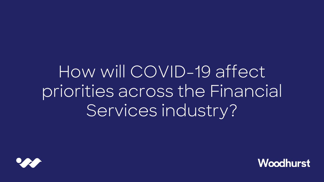# How will COVID-19 affect priorities across the Financial Services industry?



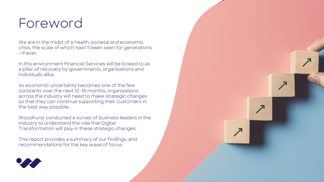# Foreword

We are in the midst of a health, societal and economic crisis, the scale of which hasn't been seen for generations – if ever.

In this environment Financial Services will be looked to as a pillar of recovery by governments, organisations and individuals alike.

As economic uncertainty becomes one of the few constants over the next 12-18 months, organisations across the industry will need to make strategic changes so that they can continue supporting their customers in the best way possible.

Woodhurst conducted a survey of business leaders in the industry to understand the role that Digital Transformation will play in these strategic changes.

This report provides a summary of our findings, and recommendations for the key areas of focus.



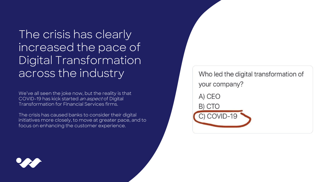The crisis has clearly increased the pace of Digital Transformation across the industry

We've all seen the joke now, but the reality is that COVID-19 has kick started an aspect of Digital Transformation for Financial Services firms.

The crisis has caused banks to consider their digital initiatives more closely, to move at greater pace, and to focus on enhancing the customer experience.

Who led the digital transformation of your company?

A) CEO

B) CTO



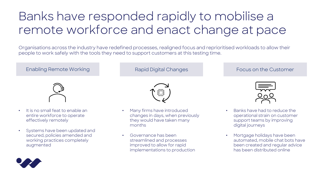# Banks have responded rapidly to mobilise a remote workforce and enact change at pace

Organisations across the industry have redefined processes, realigned focus and reprioritised workloads to allow their people to work safely with the tools they need to support customers at this testing time.



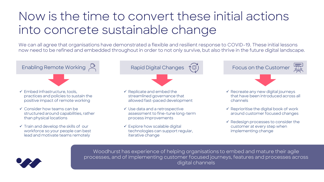### Now is the time to convert these initial actions into concrete sustainable change

We can all agree that organisations have demonstrated a flexible and resilient response to COVID-19. These initial lessons now need to be refined and embedded throughout in order to not only survive, but also thrive in the future digital landscape.

Enabling Remote Working **Enabling Remote Working** Rapid Digital Changes **Rapid Digital Changes** Focus on the Customer **Focus on the Customer**

✓ Embed infrastructure, tools, practices and policies to sustain the positive impact of remote working

 $\checkmark$  Consider how teams can be structured around capabilities, rather than physical locations

 $\checkmark$  Train and develop the skills of our workforce so your people can best lead and motivate teams remotely



- $\checkmark$  Replicate and embed the streamlined governance that allowed fast-paced development
- ✓ Use data and a retrospective assessment to fine-tune long-term process improvements
- $\checkmark$  Explore how scalable digital technologies can support regular, iterative change



- ✓ Recreate any new digital journeys that have been introduced across all channels
- $\checkmark$  Reprioritise the digital book of work around customer focused changes
- $\checkmark$  Redesign processes to consider the customer at every step when implementing change



Woodhurst has experience of helping organisations to embed and mature their agile processes, and of implementing customer focused journeys, features and processes across digital channels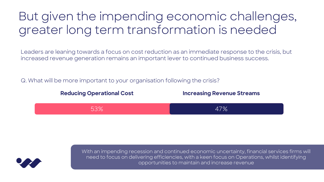### But given the impending economic challenges, greater long term transformation is needed

Leaders are leaning towards a focus on cost reduction as an immediate response to the crisis, but increased revenue generation remains an important lever to continued business success.

Q. What will be more important to your organisation following the crisis?





With an impending recession and continued economic uncertainty, financial services firms will need to focus on delivering efficiencies, with a keen focus on Operations, whilst identifying opportunities to maintain and increase revenue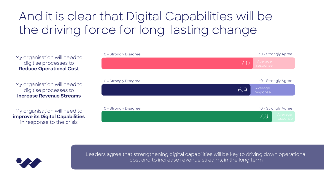# And it is clear that Digital Capabilities will be the driving force for long-lasting change

0 - Strongly Disagree My organisation will need to digitise processes to **Reduce Operational Cost**

My organisation will need to digitise processes to **Increase Revenue Streams**

My organisation will need to **improve its Digital Capabilities**  in response to the crisis





Leaders agree that strengthening digital capabilities will be key to driving down operational cost and to increase revenue streams, in the long term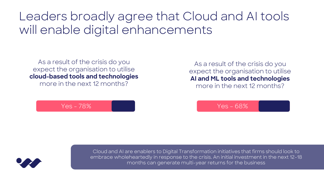### Leaders broadly agree that Cloud and AI tools will enable digital enhancements

As a result of the crisis do you expect the organisation to utilise **cloud-based tools and technologies**  more in the next 12 months?

As a result of the crisis do you expect the organisation to utilise **AI and ML tools and technologies**  more in the next 12 months?

Yes - 78% Yes – 68%



Cloud and AI are enablers to Digital Transformation initiatives that firms should look to embrace wholeheartedly in response to the crisis. An initial investment in the next 12-18 months can generate multi-year returns for the business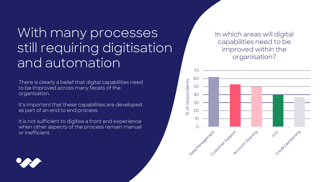# With many processes still requiring digitisation and automation

There is clearly a belief that digital capabilities need to be improved across many facets of the organisation.

It's important that these capabilities are developed as part of an end to end process.

It is not sufficient to digitise a front end experience when other aspects of the process remain manual or inefficient.

In which areas will digital capabilities need to be improved within the organisation?



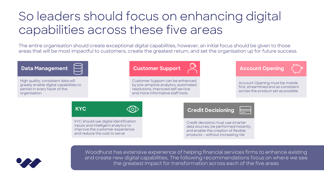### So leaders should focus on enhancing digital capabilities across these five areas

The entire organisation should create exceptional digital capabilities, however, an initial focus should be given to those areas that will be most impactful to customers, create the greatest return, and set the organisation up for future success.





Woodhurst has extensive experience of helping financial services firms to enhance existing and create new digital capabilities. The following recommendations focus on where we see the greatest impact for transformation across each of the five areas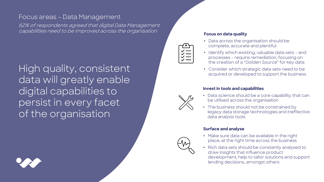### Focus areas – Data Management

62% of respondents agreed that digital Data Management capabilities need to be improved across the organisation

High quality, consistent data will greatly enable digital capabilities to persist in every facet of the organisation



#### **Focus on data quality**

- Data across the organisation should be complete, accurate and plentiful
- Identify which existing, valuable data sets and processes – require remediation, focusing on the creation of a "Golden Source" for key data
- Consider which strategic data sets need to be acquired or developed to support the business

#### **Invest in tools and capabilities**



- Data science should be a core capability that can be utilised across the organisation
- The business should not be constrained by legacy data storage technologies and ineffective data analysis tools

#### **Surface and analyse**

- Make sure data can be available in the right place, at the right time across the business
- Rich data sets should be constantly analysed to draw insights that influence product development, help to tailor solutions and support lending decisions, amongst others



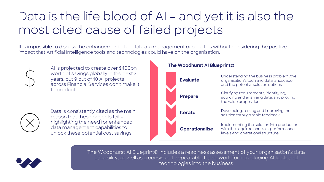## Data is the life blood of AI – and yet it is also the most cited cause of failed projects

It is impossible to discuss the enhancement of digital data management capabilities without considering the positive impact that Artificial Intelligence tools and technologies could have on the organisation.



worth of savings globally in the next 3 years, but 9 out of 10 AI projects across Financial Services don't make it to production.



Data is consistently cited as the main reason that these projects fail – highlighting the need for enhanced data management capabilities to unlock these potential cost savings.





The Woodhurst AI Blueprint© includes a readiness assessment of your organisation's data capability, as well as a consistent, repeatable framework for introducing AI tools and technologies into the business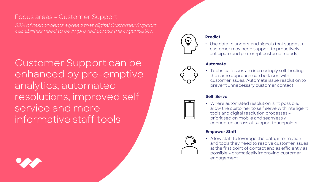### Focus areas - Customer Support

53% of respondents agreed that digital Customer Support capabilities need to be improved across the organisation

Customer Support can be enhanced by pre-emptive analytics, automated resolutions, improved self service and more informative staff tools





#### **Predict**

• Use data to understand signals that suggest a customer may need support to proactively anticipate and pre-empt customer needs

#### **Automate**

• Technical issues are increasingly self-healing; the same approach can be taken with customer issues. Automate issue resolution to prevent unnecessary customer contact

#### **Self-Serve**

- 
- Where automated resolution isn't possible, allow the customer to self serve with intelligent tools and digital resolution processes – prioritised on mobile and seamlessly connected across all support touchpoints

#### **Empower Staff**

• Allow staff to leverage the data, information and tools they need to resolve customer issues at the first point of contact and as efficiently as possible – dramatically improving customer engagement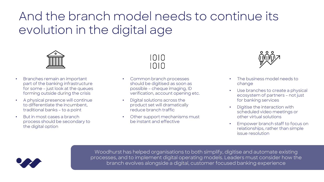# And the branch model needs to continue its evolution in the digital age



- Branches remain an important part of the banking infrastructure for some – just look at the queues forming outside during the crisis
- A physical presence will continue to differentiate the incumbent, traditional banks – to a point
- But in most cases a branch process should be secondary to the digital option



- Common branch processes should be digitised as soon as possible – cheque imaging, ID verification, account opening etc.
- Digital solutions across the product set will dramatically reduce branch traffic
- Other support mechanisms must be instant and effective



- The business model needs to change
- Use branches to create a physical ecosystem of partners – not just for banking services
- Digitise the interaction with scheduled video meetings or other virtual solutions
- Empower branch staff to focus on relationships, rather than simple issue resolution



Woodhurst has helped organisations to both simplify, digitise and automate existing processes, and to implement digital operating models. Leaders must consider how the branch evolves alongside a digital, customer focused banking experience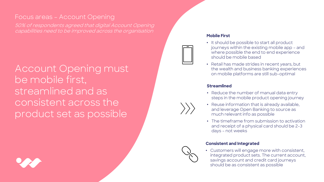### Focus areas – Account Opening

50% of respondents agreed that digital Account Opening capabilities need to be improved across the organisation

Account Opening must be mobile first, streamlined and as consistent across the product set as possible



#### **Mobile First**

- It should be possible to start all product journeys within the existing mobile app – and where possible the end to end experience should be mobile based
- Retail has made strides in recent years, but the wealth and business banking experiences on mobile platforms are still sub-optimal

#### **Streamlined**

- Reduce the number of manual data entry steps in the mobile product opening journey
- Reuse information that is already available, and leverage Open Banking to source as much relevant info as possible
- The timeframe from submission to activation and receipt of a physical card should be 2-3 days – not weeks

#### **Consistent and Integrated**

• Customers will engage more with consistent, integrated product sets. The current account, savings account and credit card journeys should be as consistent as possible

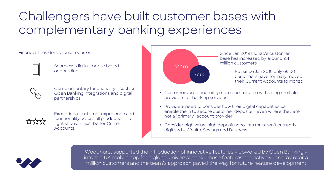## Challengers have built customer bases with complementary banking experiences

Financial Providers should focus on:



Seamless, digital, mobile based onboarding



Complementary functionality – such as Open Banking integrations and digital partnerships



Exceptional customer experience and functionality across all products – the fight shouldn't just be for Current Accounts





Woodhurst supported the introduction of innovative features – powered by Open Banking – into the UK mobile app for a global universal bank. These features are actively used by over a  $\mid$ million customers and the team's approach paved the way for future feature development  $\mid$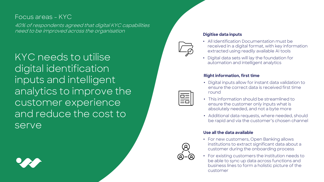### Focus areas - KYC

40% of respondents agreed that digital KYC capabilities need to be improved across the organisation

KYC needs to utilise digital identification inputs and intelligent analytics to improve the customer experience and reduce the cost to serve





#### **Digitise data inputs**

- All Identification Documentation must be received in a digital format, with key information extracted using readily available AI tools
- Digital data sets will lay the foundation for automation and intelligent analytics

#### **Right information, first time**

- Digital inputs allow for instant data validation to ensure the correct data is received first time round
- This information should be streamlined to ensure the customer only inputs what is absolutely needed, and not a byte more
- Additional data requests, where needed, should be rapid and via the customer's chosen channel

#### **Use all the data available**

- For new customers, Open Banking allows institutions to extract significant data about a customer during the onboarding process
- For existing customers the institution needs to be able to sync up data across functions and business lines to form a holistic picture of the customer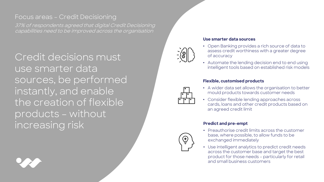### Focus areas – Credit Decisioning

37% of respondents agreed that digital Credit Decisioning capabilities need to be improved across the organisation

Credit decisions must use smarter data sources, be performed instantly, and enable the creation of flexible products – without increasing risk



 $\overline{\widehat{\mathcal{A}}}$ 

#### **Use smarter data sources**

- Open Banking provides a rich source of data to assess credit worthiness with a greater degree of accuracy
- Automate the lending decision end to end using intelligent tools based on established risk models

#### **Flexible, customised products**

- A wider data set allows the organisation to better mould products towards customer needs
- Consider flexible lending approaches across cards, loans and other credit products based on an agreed credit limit

#### **Predict and pre-empt**

- Preauthorise credit limits across the customer base, where possible, to allow funds to be exchanged immediately
- Use intelligent analytics to predict credit needs across the customer base and target the best product for those needs – particularly for retail and small business customers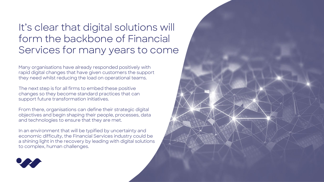### It's clear that digital solutions will form the backbone of Financial Services for many years to come

Many organisations have already responded positively with rapid digital changes that have given customers the support they need whilst reducing the load on operational teams.

The next step is for all firms to embed these positive changes so they become standard practices that can support future transformation initiatives.

From there, organisations can define their strategic digital objectives and begin shaping their people, processes, data and technologies to ensure that they are met.

In an environment that will be typified by uncertainty and economic difficulty, the Financial Services industry could be a shining light in the recovery by leading with digital solutions to complex, human challenges.